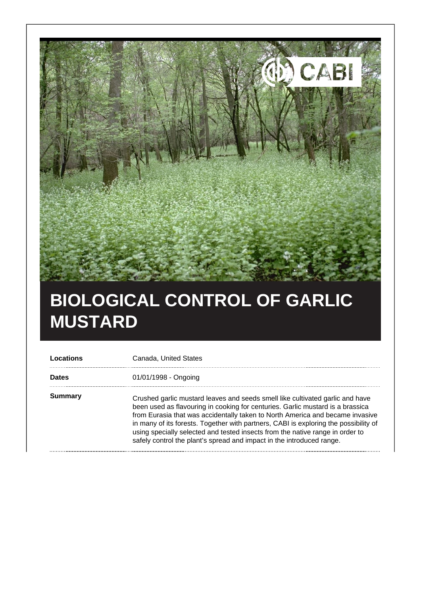

## **BIOLOGICAL CONTROL OF GARLIC MUSTARD**

| Locations    | Canada, United States                                                                                                                                                                                                                                                                                                                                                                                                                                                                              |
|--------------|----------------------------------------------------------------------------------------------------------------------------------------------------------------------------------------------------------------------------------------------------------------------------------------------------------------------------------------------------------------------------------------------------------------------------------------------------------------------------------------------------|
| <b>Dates</b> | 01/01/1998 - Ongoing                                                                                                                                                                                                                                                                                                                                                                                                                                                                               |
| Summary      | Crushed garlic mustard leaves and seeds smell like cultivated garlic and have<br>been used as flavouring in cooking for centuries. Garlic mustard is a brassica<br>from Eurasia that was accidentally taken to North America and became invasive<br>in many of its forests. Together with partners, CABI is exploring the possibility of<br>using specially selected and tested insects from the native range in order to<br>safely control the plant's spread and impact in the introduced range. |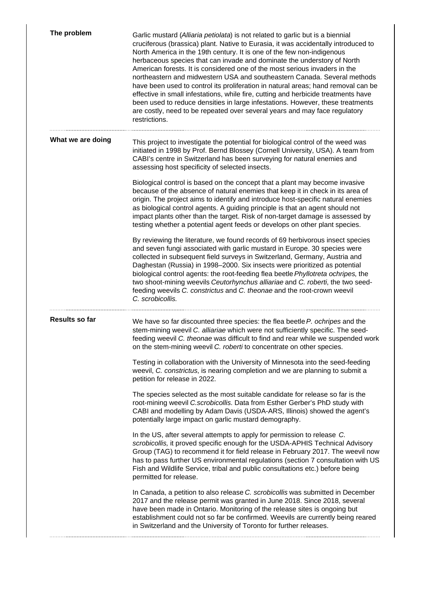| The problem       | Garlic mustard (Alliaria petiolata) is not related to garlic but is a biennial<br>cruciferous (brassica) plant. Native to Eurasia, it was accidentally introduced to<br>North America in the 19th century. It is one of the few non-indigenous<br>herbaceous species that can invade and dominate the understory of North<br>American forests. It is considered one of the most serious invaders in the<br>northeastern and midwestern USA and southeastern Canada. Several methods<br>have been used to control its proliferation in natural areas; hand removal can be<br>effective in small infestations, while fire, cutting and herbicide treatments have<br>been used to reduce densities in large infestations. However, these treatments<br>are costly, need to be repeated over several years and may face regulatory<br>restrictions. |
|-------------------|-------------------------------------------------------------------------------------------------------------------------------------------------------------------------------------------------------------------------------------------------------------------------------------------------------------------------------------------------------------------------------------------------------------------------------------------------------------------------------------------------------------------------------------------------------------------------------------------------------------------------------------------------------------------------------------------------------------------------------------------------------------------------------------------------------------------------------------------------|
| What we are doing | This project to investigate the potential for biological control of the weed was<br>initiated in 1998 by Prof. Bernd Blossey (Cornell University, USA). A team from<br>CABI's centre in Switzerland has been surveying for natural enemies and<br>assessing host specificity of selected insects.                                                                                                                                                                                                                                                                                                                                                                                                                                                                                                                                               |
|                   | Biological control is based on the concept that a plant may become invasive<br>because of the absence of natural enemies that keep it in check in its area of<br>origin. The project aims to identify and introduce host-specific natural enemies<br>as biological control agents. A guiding principle is that an agent should not<br>impact plants other than the target. Risk of non-target damage is assessed by<br>testing whether a potential agent feeds or develops on other plant species.                                                                                                                                                                                                                                                                                                                                              |
|                   | By reviewing the literature, we found records of 69 herbivorous insect species<br>and seven fungi associated with garlic mustard in Europe. 30 species were<br>collected in subsequent field surveys in Switzerland, Germany, Austria and<br>Daghestan (Russia) in 1998-2000. Six insects were prioritized as potential<br>biological control agents: the root-feeding flea beetle Phyllotreta ochripes, the<br>two shoot-mining weevils Ceutorhynchus alliariae and C. roberti, the two seed-<br>feeding weevils C. constrictus and C. theonae and the root-crown weevil<br>C. scrobicollis.                                                                                                                                                                                                                                                   |
| Results so far    | We have so far discounted three species: the flea beetle P. ochripes and the<br>stem-mining weevil C. alliariae which were not sufficiently specific. The seed-<br>feeding weevil C. theonae was difficult to find and rear while we suspended work<br>on the stem-mining weevil C. roberti to concentrate on other species.                                                                                                                                                                                                                                                                                                                                                                                                                                                                                                                    |
|                   | Testing in collaboration with the University of Minnesota into the seed-feeding<br>weevil, C. constrictus, is nearing completion and we are planning to submit a<br>petition for release in 2022.                                                                                                                                                                                                                                                                                                                                                                                                                                                                                                                                                                                                                                               |
|                   | The species selected as the most suitable candidate for release so far is the<br>root-mining weevil C.scrobicollis. Data from Esther Gerber's PhD study with<br>CABI and modelling by Adam Davis (USDA-ARS, Illinois) showed the agent's<br>potentially large impact on garlic mustard demography.                                                                                                                                                                                                                                                                                                                                                                                                                                                                                                                                              |
|                   | In the US, after several attempts to apply for permission to release C.<br>scrobicollis, it proved specific enough for the USDA-APHIS Technical Advisory<br>Group (TAG) to recommend it for field release in February 2017. The weevil now<br>has to pass further US environmental regulations (section 7 consultation with US<br>Fish and Wildlife Service, tribal and public consultations etc.) before being<br>permitted for release.                                                                                                                                                                                                                                                                                                                                                                                                       |
|                   | In Canada, a petition to also release C. scrobicollis was submitted in December<br>2017 and the release permit was granted in June 2018. Since 2018, several<br>have been made in Ontario. Monitoring of the release sites is ongoing but<br>establishment could not so far be confirmed. Weevils are currently being reared<br>in Switzerland and the University of Toronto for further releases.                                                                                                                                                                                                                                                                                                                                                                                                                                              |